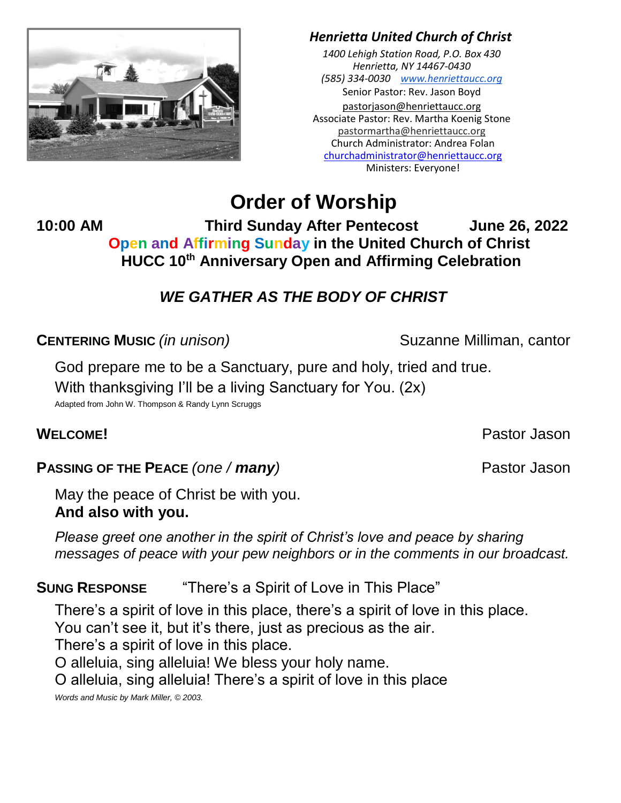*Henrietta United Church of Christ 1400 Lehigh Station Road, P.O. Box 430 Henrietta, NY 14467-0430 (585) 334-0030 [www.henriettaucc.org](http://www.henriettaucc.org/)* Senior Pastor: Rev. Jason Boyd [pastorjason@henriettaucc.org](mailto:seniorpastor@henriettaucc.org) Associate Pastor: Rev. Martha Koenig Stone [pastormartha@henriettaucc.org](mailto:pastormartha@henriettaucc.org) Church Administrator: Andrea Folan [churchadministrator@henriettaucc.org](mailto:churchadministrator@henriettaucc.org) Ministers: Everyone!

# **Order of Worship**

### **10:00 AM Third Sunday After Pentecost June 26, 2022 Open and Affirming Sunday in the United Church of Christ HUCC 10th Anniversary Open and Affirming Celebration**

# *WE GATHER AS THE BODY OF CHRIST*

**CENTERING MUSIC** *(in unison)* Suzanne Milliman, cantor

God prepare me to be a Sanctuary, pure and holy, tried and true. With thanksgiving I'll be a living Sanctuary for You. (2x)

Adapted from John W. Thompson & Randy Lynn Scruggs

**WELCOME!** Pastor Jason

**PASSING OF THE PEACE (one / many)** Pastor Jason

May the peace of Christ be with you. **And also with you.**

*Please greet one another in the spirit of Christ's love and peace by sharing messages of peace with your pew neighbors or in the comments in our broadcast.* 

**SUNG RESPONSE** "There's a Spirit of Love in This Place"

There's a spirit of love in this place, there's a spirit of love in this place.

You can't see it, but it's there, just as precious as the air.

There's a spirit of love in this place.

O alleluia, sing alleluia! We bless your holy name.

O alleluia, sing alleluia! There's a spirit of love in this place

*Words and Music by Mark Miller, © 2003.*

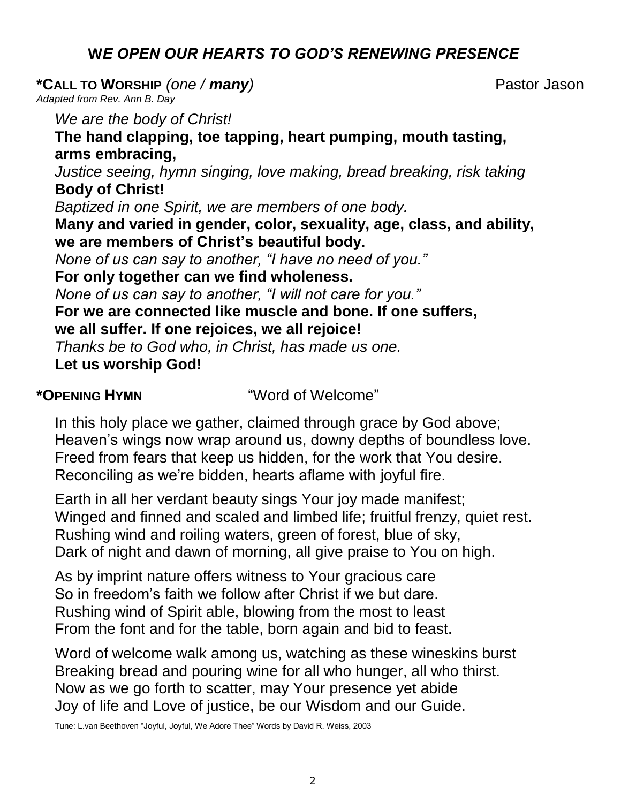### **W***E OPEN OUR HEARTS TO GOD'S RENEWING PRESENCE*

### **\*CALL TO WORSHIP** *(one / many)* Pastor Jason *Adapted from Rev. Ann B. Day We are the body of Christ!*  **The hand clapping, toe tapping, heart pumping, mouth tasting, arms embracing,** *Justice seeing, hymn singing, love making, bread breaking, risk taking* **Body of Christ!**  *Baptized in one Spirit, we are members of one body.*  **Many and varied in gender, color, sexuality, age, class, and ability, we are members of Christ's beautiful body.**  *None of us can say to another, "I have no need of you."*  **For only together can we find wholeness.** *None of us can say to another, "I will not care for you."* **For we are connected like muscle and bone. If one suffers, we all suffer. If one rejoices, we all rejoice!**  *Thanks be to God who, in Christ, has made us one.*  **Let us worship God!**

**\*OPENING HYMN** "Word of Welcome"

In this holy place we gather, claimed through grace by God above; Heaven's wings now wrap around us, downy depths of boundless love. Freed from fears that keep us hidden, for the work that You desire. Reconciling as we're bidden, hearts aflame with joyful fire.

Earth in all her verdant beauty sings Your joy made manifest; Winged and finned and scaled and limbed life; fruitful frenzy, quiet rest. Rushing wind and roiling waters, green of forest, blue of sky, Dark of night and dawn of morning, all give praise to You on high.

As by imprint nature offers witness to Your gracious care So in freedom's faith we follow after Christ if we but dare. Rushing wind of Spirit able, blowing from the most to least From the font and for the table, born again and bid to feast.

Word of welcome walk among us, watching as these wineskins burst Breaking bread and pouring wine for all who hunger, all who thirst. Now as we go forth to scatter, may Your presence yet abide Joy of life and Love of justice, be our Wisdom and our Guide.

Tune: L.van Beethoven "Joyful, Joyful, We Adore Thee" Words by David R. Weiss, 2003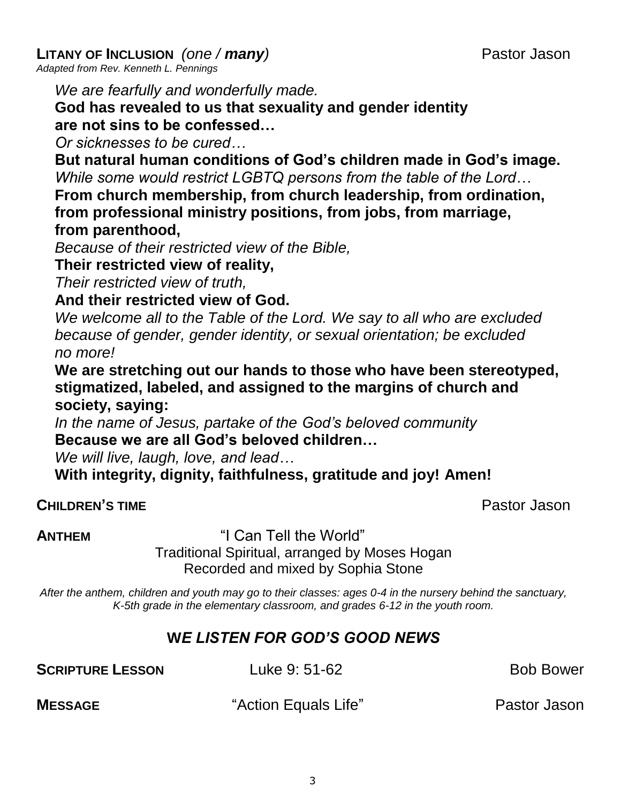**LITANY OF INCLUSION** *(one / many)* Pastor Jason

*Adapted from Rev. Kenneth L. Pennings*

*We are fearfully and wonderfully made.*

**God has revealed to us that sexuality and gender identity are not sins to be confessed…**

*Or sicknesses to be cured…*

**But natural human conditions of God's children made in God's image.** *While some would restrict LGBTQ persons from the table of the Lord…* **From church membership, from church leadership, from ordination, from professional ministry positions, from jobs, from marriage, from parenthood,**

*Because of their restricted view of the Bible,*

**Their restricted view of reality,**

*Their restricted view of truth,*

**And their restricted view of God.**

*We welcome all to the Table of the Lord. We say to all who are excluded because of gender, gender identity, or sexual orientation; be excluded no more!*

**We are stretching out our hands to those who have been stereotyped, stigmatized, labeled, and assigned to the margins of church and society, saying:**

*In the name of Jesus, partake of the God's beloved community* **Because we are all God's beloved children…**

*We will live, laugh, love, and lead…*

**With integrity, dignity, faithfulness, gratitude and joy! Amen!**

### **CHILDREN'S TIME** Pastor Jason

**ANTHEM** "I Can Tell the World"

Traditional Spiritual, arranged by Moses Hogan Recorded and mixed by Sophia Stone

*After the anthem, children and youth may go to their classes: ages 0-4 in the nursery behind the sanctuary, K-5th grade in the elementary classroom, and grades 6-12 in the youth room.* 

### **W***E LISTEN FOR GOD'S GOOD NEWS*

| <b>SCRIPTURE LESSON</b> | Luke 9: 51-62        | <b>Bob Bower</b> |
|-------------------------|----------------------|------------------|
| <b>MESSAGE</b>          | "Action Equals Life" | Pastor Jason     |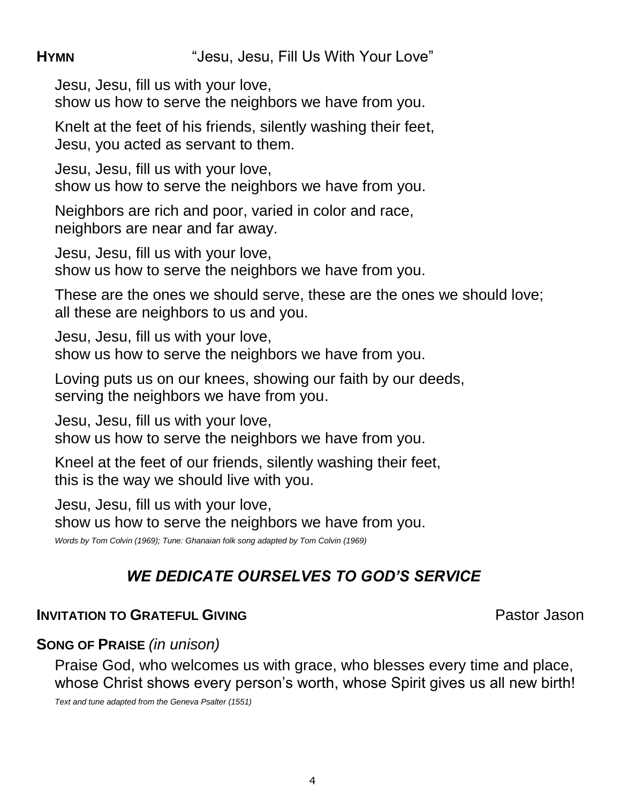Jesu, Jesu, fill us with your love, show us how to serve the neighbors we have from you.

Knelt at the feet of his friends, silently washing their feet, Jesu, you acted as servant to them.

Jesu, Jesu, fill us with your love, show us how to serve the neighbors we have from you.

Neighbors are rich and poor, varied in color and race, neighbors are near and far away.

Jesu, Jesu, fill us with your love, show us how to serve the neighbors we have from you.

These are the ones we should serve, these are the ones we should love; all these are neighbors to us and you.

Jesu, Jesu, fill us with your love, show us how to serve the neighbors we have from you.

Loving puts us on our knees, showing our faith by our deeds, serving the neighbors we have from you.

Jesu, Jesu, fill us with your love,

show us how to serve the neighbors we have from you.

Kneel at the feet of our friends, silently washing their feet, this is the way we should live with you.

Jesu, Jesu, fill us with your love,

show us how to serve the neighbors we have from you.

*Words by Tom Colvin (1969); Tune: Ghanaian folk song adapted by Tom Colvin (1969)*

# *WE DEDICATE OURSELVES TO GOD'S SERVICE*

### **INVITATION TO GRATEFUL GIVING CONSUMING Pastor Jason**

### **SONG OF PRAISE** *(in unison)*

Praise God, who welcomes us with grace, who blesses every time and place, whose Christ shows every person's worth, whose Spirit gives us all new birth!

*Text and tune adapted from the Geneva Psalter (1551)*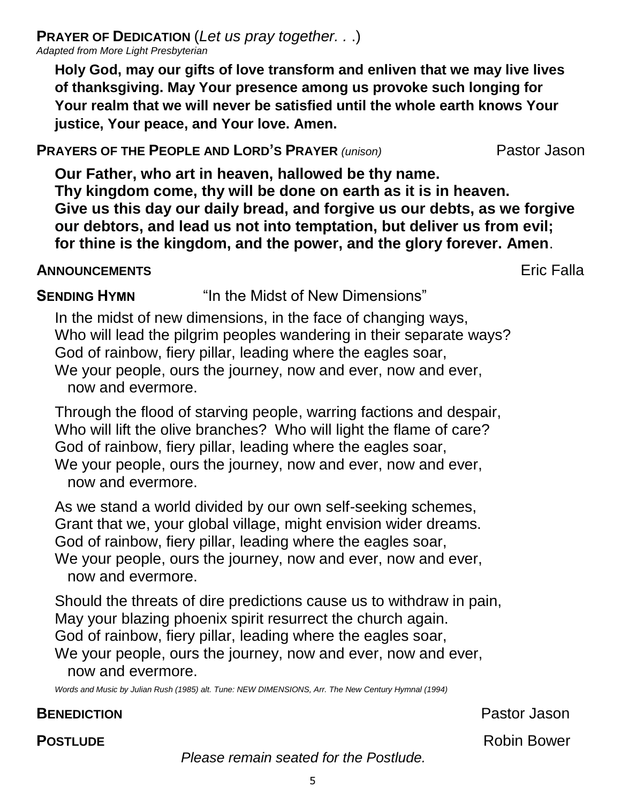**PRAYER OF DEDICATION** (*Let us pray together. .* .)

*Adapted from More Light Presbyterian*

**Holy God, may our gifts of love transform and enliven that we may live lives of thanksgiving. May Your presence among us provoke such longing for Your realm that we will never be satisfied until the whole earth knows Your justice, Your peace, and Your love. Amen.** 

**PRAYERS OF THE PEOPLE AND LORD'S PRAYER** *(unison)*Pastor Jason

**Our Father, who art in heaven, hallowed be thy name. Thy kingdom come, thy will be done on earth as it is in heaven. Give us this day our daily bread, and forgive us our debts, as we forgive our debtors, and lead us not into temptation, but deliver us from evil; for thine is the kingdom, and the power, and the glory forever. Amen**.

### **ANNOUNCEMENTS** Eric Falla

### **SENDING HYMN** "In the Midst of New Dimensions"

In the midst of new dimensions, in the face of changing ways, Who will lead the pilgrim peoples wandering in their separate ways? God of rainbow, fiery pillar, leading where the eagles soar, We your people, ours the journey, now and ever, now and ever, now and evermore.

Through the flood of starving people, warring factions and despair, Who will lift the olive branches? Who will light the flame of care? God of rainbow, fiery pillar, leading where the eagles soar, We your people, ours the journey, now and ever, now and ever, now and evermore.

As we stand a world divided by our own self-seeking schemes, Grant that we, your global village, might envision wider dreams. God of rainbow, fiery pillar, leading where the eagles soar, We your people, ours the journey, now and ever, now and ever, now and evermore.

Should the threats of dire predictions cause us to withdraw in pain, May your blazing phoenix spirit resurrect the church again. God of rainbow, fiery pillar, leading where the eagles soar, We your people, ours the journey, now and ever, now and ever, now and evermore.

*Words and Music by Julian Rush (1985) alt. Tune: NEW DIMENSIONS, Arr. The New Century Hymnal (1994)*

**BENEDICTION Pastor Jason** 

**POSTLUDE** Robin Bower

*Please remain seated for the Postlude.*